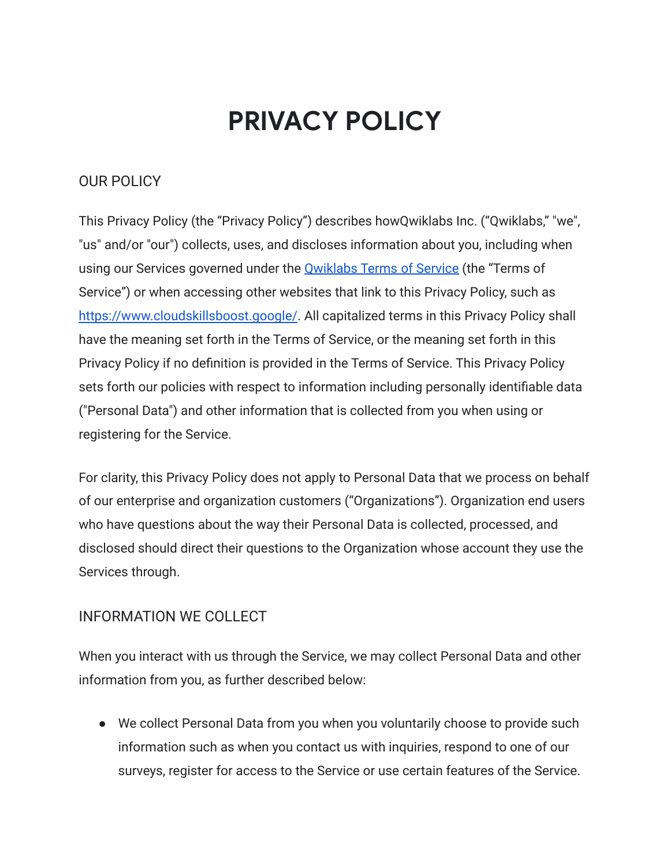# **PRIVACY POLICY**

### OUR POLICY

This Privacy Policy (the "Privacy Policy") describes howQwiklabs Inc. ("Qwiklabs," "we", "us" and/or "our") collects, uses, and discloses information about you, including when using our Services governed under the **[Qwiklabs Terms](https://www.qwiklabs.com/terms_of_service) of Service** (the "Terms of Service") or when accessing other websites that link to this Privacy Policy, such as <https://www.cloudskillsboost.google/>. All capitalized terms in this Privacy Policy shall have the meaning set forth in the Terms of Service, or the meaning set forth in this Privacy Policy if no definition is provided in the Terms of Service. This Privacy Policy sets forth our policies with respect to information including personally identifiable data ("Personal Data") and other information that is collected from you when using or registering for the Service.

For clarity, this Privacy Policy does not apply to Personal Data that we process on behalf of our enterprise and organization customers ("Organizations"). Organization end users who have questions about the way their Personal Data is collected, processed, and disclosed should direct their questions to the Organization whose account they use the Services through.

#### INFORMATION WE COLLECT

When you interact with us through the Service, we may collect Personal Data and other information from you, as further described below:

● We collect Personal Data from you when you voluntarily choose to provide such information such as when you contact us with inquiries, respond to one of our surveys, register for access to the Service or use certain features of the Service.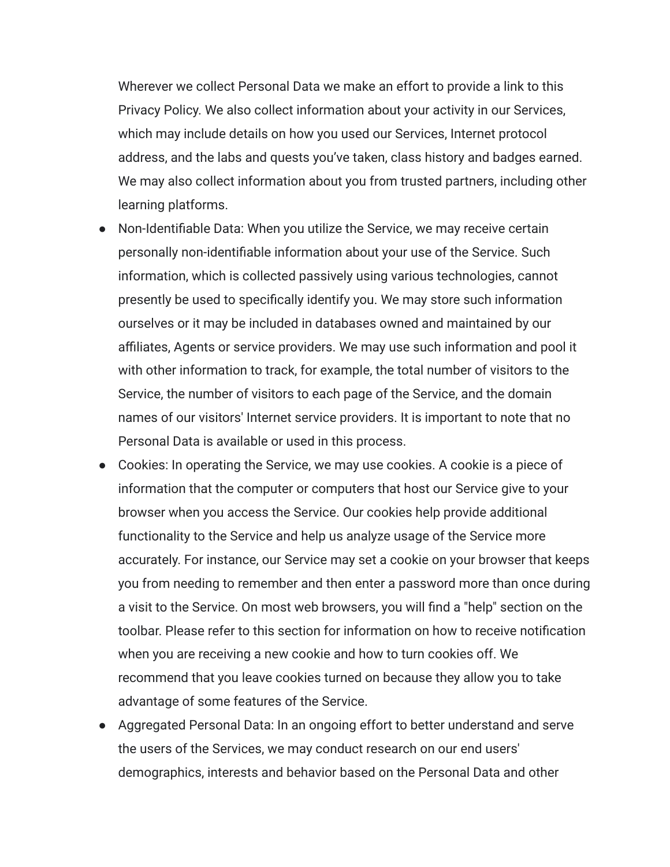Wherever we collect Personal Data we make an effort to provide a link to this Privacy Policy. We also collect information about your activity in our Services, which may include details on how you used our Services, Internet protocol address, and the labs and quests you've taken, class history and badges earned. We may also collect information about you from trusted partners, including other learning platforms.

- Non-Identifiable Data: When you utilize the Service, we may receive certain personally non-identifiable information about your use of the Service. Such information, which is collected passively using various technologies, cannot presently be used to specifically identify you. We may store such information ourselves or it may be included in databases owned and maintained by our affiliates, Agents or service providers. We may use such information and pool it with other information to track, for example, the total number of visitors to the Service, the number of visitors to each page of the Service, and the domain names of our visitors' Internet service providers. It is important to note that no Personal Data is available or used in this process.
- Cookies: In operating the Service, we may use cookies. A cookie is a piece of information that the computer or computers that host our Service give to your browser when you access the Service. Our cookies help provide additional functionality to the Service and help us analyze usage of the Service more accurately. For instance, our Service may set a cookie on your browser that keeps you from needing to remember and then enter a password more than once during a visit to the Service. On most web browsers, you will find a "help" section on the toolbar. Please refer to this section for information on how to receive notification when you are receiving a new cookie and how to turn cookies off. We recommend that you leave cookies turned on because they allow you to take advantage of some features of the Service.
- Aggregated Personal Data: In an ongoing effort to better understand and serve the users of the Services, we may conduct research on our end users' demographics, interests and behavior based on the Personal Data and other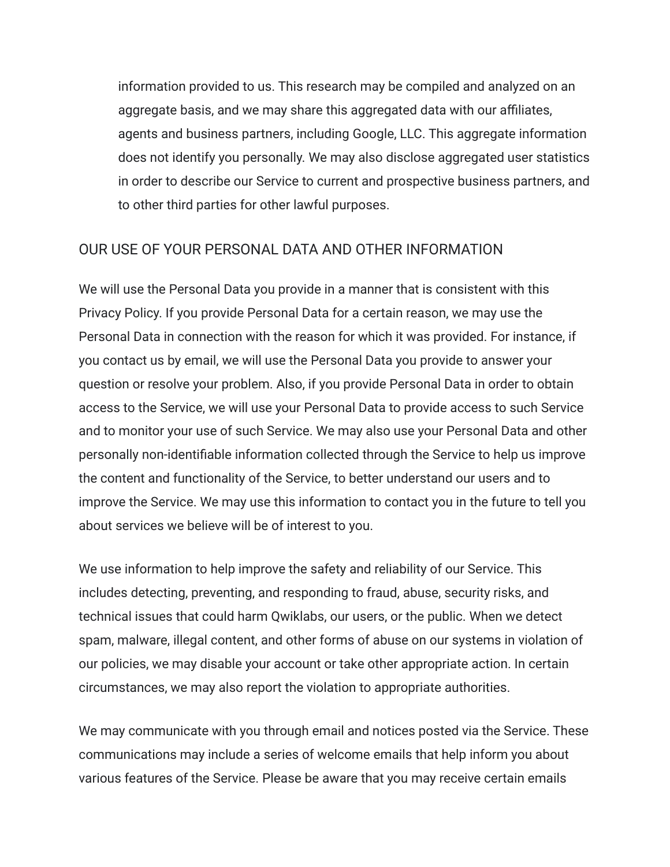information provided to us. This research may be compiled and analyzed on an aggregate basis, and we may share this aggregated data with our affiliates, agents and business partners, including Google, LLC. This aggregate information does not identify you personally. We may also disclose aggregated user statistics in order to describe our Service to current and prospective business partners, and to other third parties for other lawful purposes.

#### OUR USE OF YOUR PERSONAL DATA AND OTHER INFORMATION

We will use the Personal Data you provide in a manner that is consistent with this Privacy Policy. If you provide Personal Data for a certain reason, we may use the Personal Data in connection with the reason for which it was provided. For instance, if you contact us by email, we will use the Personal Data you provide to answer your question or resolve your problem. Also, if you provide Personal Data in order to obtain access to the Service, we will use your Personal Data to provide access to such Service and to monitor your use of such Service. We may also use your Personal Data and other personally non-identifiable information collected through the Service to help us improve the content and functionality of the Service, to better understand our users and to improve the Service. We may use this information to contact you in the future to tell you about services we believe will be of interest to you.

We use information to help improve the safety and reliability of our Service. This includes detecting, preventing, and responding to fraud, abuse, security risks, and technical issues that could harm Qwiklabs, our users, or the public. When we detect spam, malware, illegal content, and other forms of abuse on our systems in violation of our policies, we may disable your account or take other appropriate action. In certain circumstances, we may also report the violation to appropriate authorities.

We may communicate with you through email and notices posted via the Service. These communications may include a series of welcome emails that help inform you about various features of the Service. Please be aware that you may receive certain emails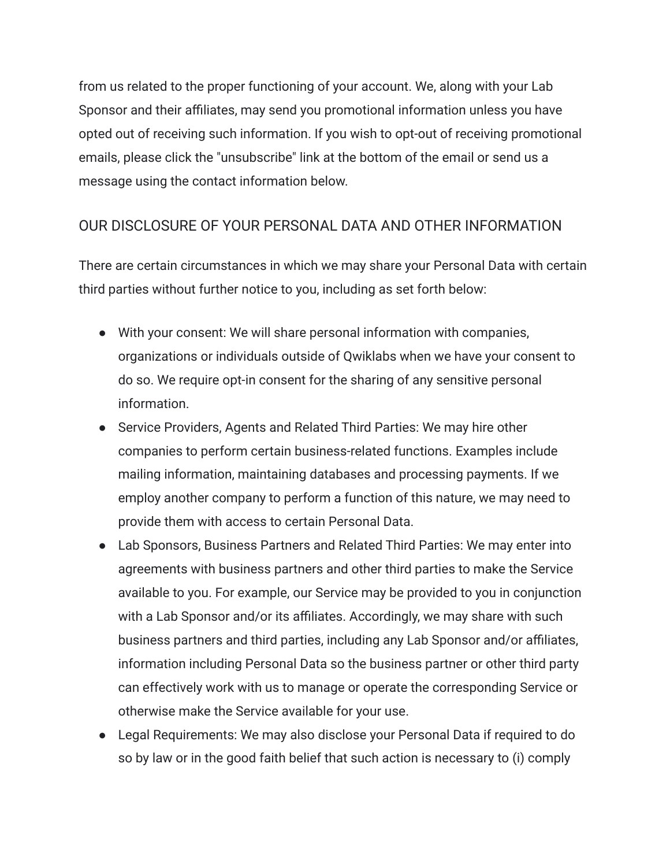from us related to the proper functioning of your account. We, along with your Lab Sponsor and their affiliates, may send you promotional information unless you have opted out of receiving such information. If you wish to opt-out of receiving promotional emails, please click the "unsubscribe" link at the bottom of the email or send us a message using the contact information below.

# OUR DISCLOSURE OF YOUR PERSONAL DATA AND OTHER INFORMATION

There are certain circumstances in which we may share your Personal Data with certain third parties without further notice to you, including as set forth below:

- With your consent: We will share personal information with companies, organizations or individuals outside of Qwiklabs when we have your consent to do so. We require opt-in consent for the sharing of any sensitive personal information.
- Service Providers, Agents and Related Third Parties: We may hire other companies to perform certain business-related functions. Examples include mailing information, maintaining databases and processing payments. If we employ another company to perform a function of this nature, we may need to provide them with access to certain Personal Data.
- Lab Sponsors, Business Partners and Related Third Parties: We may enter into agreements with business partners and other third parties to make the Service available to you. For example, our Service may be provided to you in conjunction with a Lab Sponsor and/or its affiliates. Accordingly, we may share with such business partners and third parties, including any Lab Sponsor and/or affiliates, information including Personal Data so the business partner or other third party can effectively work with us to manage or operate the corresponding Service or otherwise make the Service available for your use.
- Legal Requirements: We may also disclose your Personal Data if required to do so by law or in the good faith belief that such action is necessary to (i) comply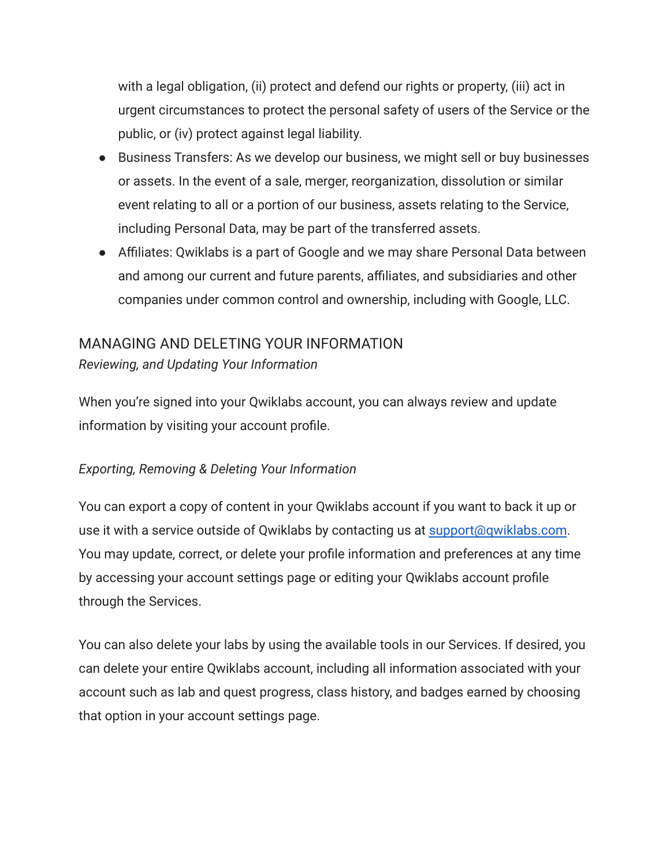with a legal obligation, (ii) protect and defend our rights or property, (iii) act in urgent circumstances to protect the personal safety of users of the Service or the public, or (iv) protect against legal liability.

- Business Transfers: As we develop our business, we might sell or buy businesses or assets. In the event of a sale, merger, reorganization, dissolution or similar event relating to all or a portion of our business, assets relating to the Service, including Personal Data, may be part of the transferred assets.
- Affiliates: Qwiklabs is a part of Google and we may share Personal Data between and among our current and future parents, affiliates, and subsidiaries and other companies under common control and ownership, including with Google, LLC.

# MANAGING AND DELETING YOUR INFORMATION

*Reviewing, and Updating Your Information*

When you're signed into your Qwiklabs account, you can always review and update information by visiting your account profile.

# *Exporting, Removing & Deleting Your Information*

You can export a copy of content in your Qwiklabs account if you want to back it up or use it with a service outside of Qwiklabs by contacting us at [support@qwiklabs.com](mailto:support@qwiklabs.com). You may update, correct, or delete your profile information and preferences at any time by accessing your account settings page or editing your Qwiklabs account profile through the Services.

You can also delete your labs by using the available tools in our Services. If desired, you can delete your entire Qwiklabs account, including all information associated with your account such as lab and quest progress, class history, and badges earned by choosing that option in your account settings page.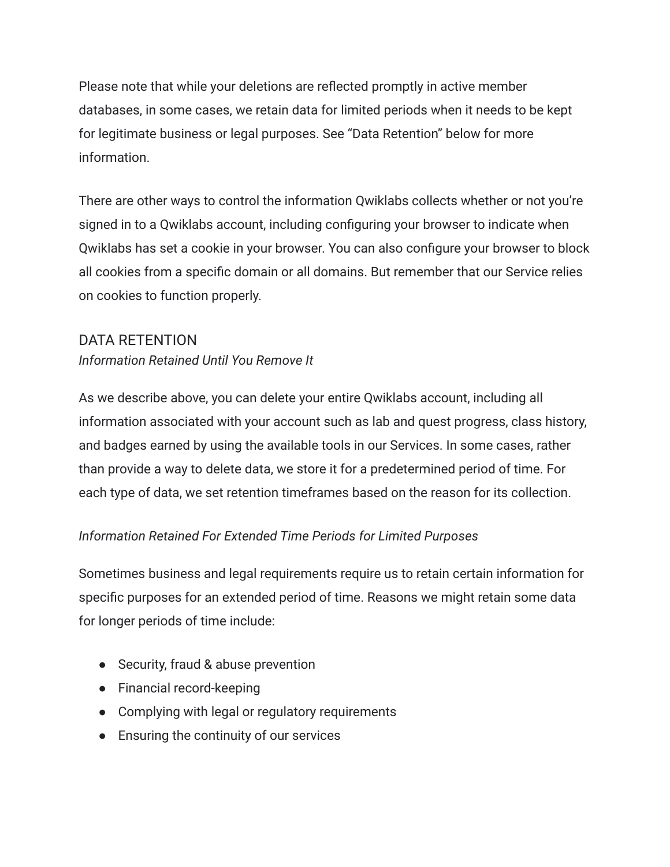Please note that while your deletions are reflected promptly in active member databases, in some cases, we retain data for limited periods when it needs to be kept for legitimate business or legal purposes. See "Data Retention" below for more information.

There are other ways to control the information Qwiklabs collects whether or not you're signed in to a Qwiklabs account, including configuring your browser to indicate when Qwiklabs has set a cookie in your browser. You can also configure your browser to block all cookies from a specific domain or all domains. But remember that our Service relies on cookies to function properly.

#### DATA RETENTION

#### *Information Retained Until You Remove It*

As we describe above, you can delete your entire Qwiklabs account, including all information associated with your account such as lab and quest progress, class history, and badges earned by using the available tools in our Services. In some cases, rather than provide a way to delete data, we store it for a predetermined period of time. For each type of data, we set retention timeframes based on the reason for its collection.

#### *Information Retained For Extended Time Periods for Limited Purposes*

Sometimes business and legal requirements require us to retain certain information for specific purposes for an extended period of time. Reasons we might retain some data for longer periods of time include:

- Security, fraud & abuse prevention
- Financial record-keeping
- Complying with legal or regulatory requirements
- Ensuring the continuity of our services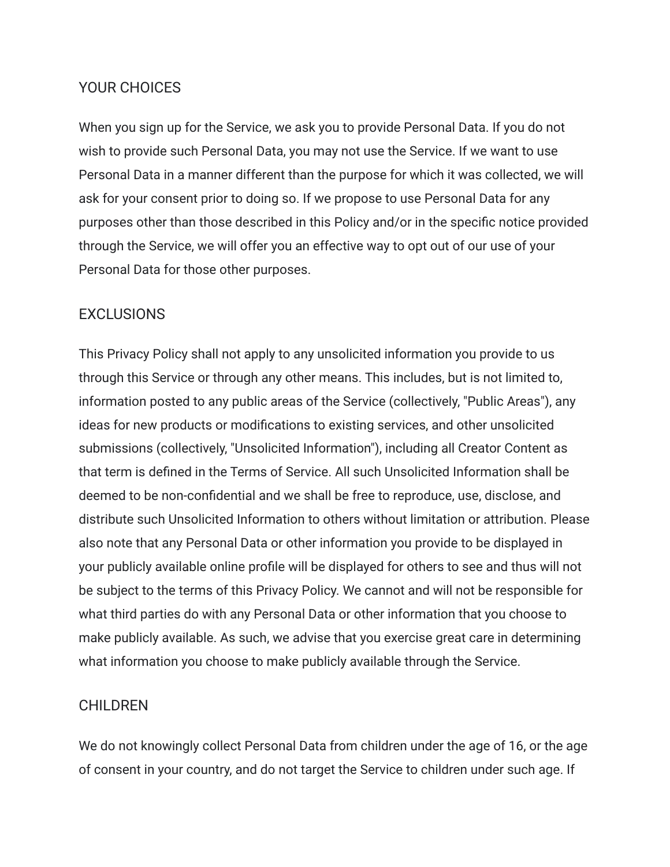#### YOUR CHOICES

When you sign up for the Service, we ask you to provide Personal Data. If you do not wish to provide such Personal Data, you may not use the Service. If we want to use Personal Data in a manner different than the purpose for which it was collected, we will ask for your consent prior to doing so. If we propose to use Personal Data for any purposes other than those described in this Policy and/or in the specific notice provided through the Service, we will offer you an effective way to opt out of our use of your Personal Data for those other purposes.

#### **EXCLUSIONS**

This Privacy Policy shall not apply to any unsolicited information you provide to us through this Service or through any other means. This includes, but is not limited to, information posted to any public areas of the Service (collectively, "Public Areas"), any ideas for new products or modifications to existing services, and other unsolicited submissions (collectively, "Unsolicited Information"), including all Creator Content as that term is defined in the Terms of Service. All such Unsolicited Information shall be deemed to be non-confidential and we shall be free to reproduce, use, disclose, and distribute such Unsolicited Information to others without limitation or attribution. Please also note that any Personal Data or other information you provide to be displayed in your publicly available online profile will be displayed for others to see and thus will not be subject to the terms of this Privacy Policy. We cannot and will not be responsible for what third parties do with any Personal Data or other information that you choose to make publicly available. As such, we advise that you exercise great care in determining what information you choose to make publicly available through the Service.

#### CHILDREN

We do not knowingly collect Personal Data from children under the age of 16, or the age of consent in your country, and do not target the Service to children under such age. If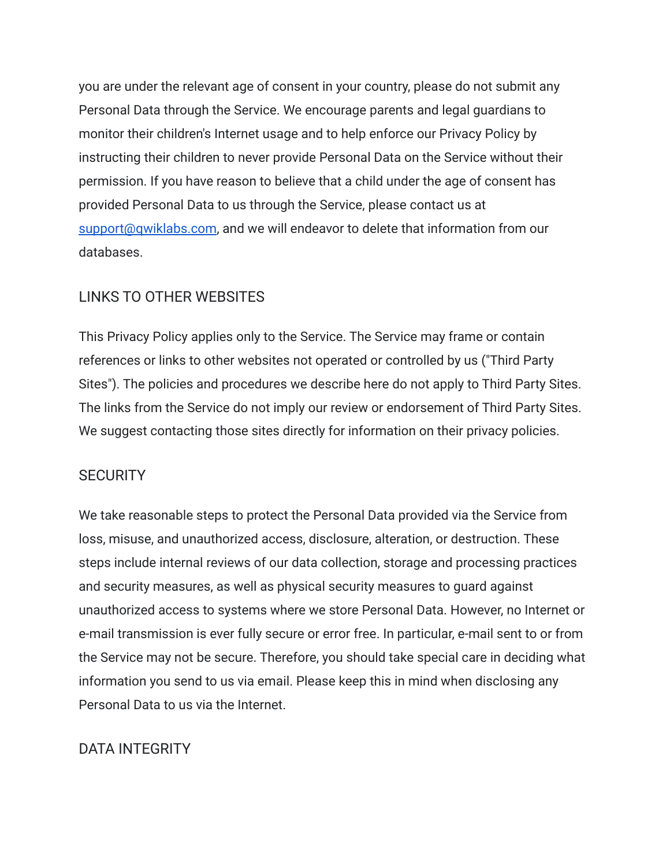you are under the relevant age of consent in your country, please do not submit any Personal Data through the Service. We encourage parents and legal guardians to monitor their children's Internet usage and to help enforce our Privacy Policy by instructing their children to never provide Personal Data on the Service without their permission. If you have reason to believe that a child under the age of consent has provided Personal Data to us through the Service, please contact us at [support@qwiklabs.com](mailto:support@qwiklabs.com), and we will endeavor to delete that information from our databases.

# LINKS TO OTHER WEBSITES

This Privacy Policy applies only to the Service. The Service may frame or contain references or links to other websites not operated or controlled by us ("Third Party Sites"). The policies and procedures we describe here do not apply to Third Party Sites. The links from the Service do not imply our review or endorsement of Third Party Sites. We suggest contacting those sites directly for information on their privacy policies.

#### **SECURITY**

We take reasonable steps to protect the Personal Data provided via the Service from loss, misuse, and unauthorized access, disclosure, alteration, or destruction. These steps include internal reviews of our data collection, storage and processing practices and security measures, as well as physical security measures to guard against unauthorized access to systems where we store Personal Data. However, no Internet or e-mail transmission is ever fully secure or error free. In particular, e-mail sent to or from the Service may not be secure. Therefore, you should take special care in deciding what information you send to us via email. Please keep this in mind when disclosing any Personal Data to us via the Internet.

#### DATA INTEGRITY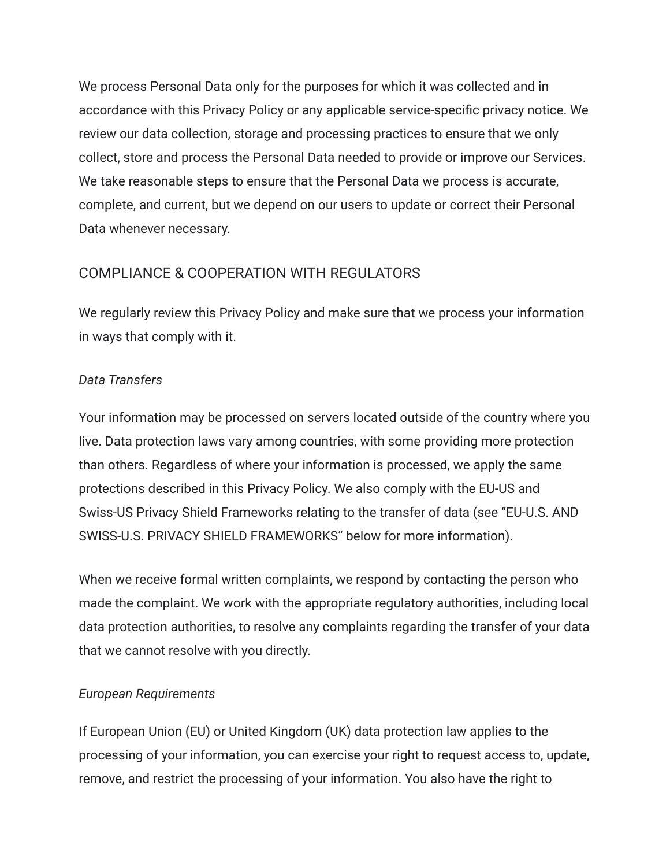We process Personal Data only for the purposes for which it was collected and in accordance with this Privacy Policy or any applicable service-specific privacy notice. We review our data collection, storage and processing practices to ensure that we only collect, store and process the Personal Data needed to provide or improve our Services. We take reasonable steps to ensure that the Personal Data we process is accurate, complete, and current, but we depend on our users to update or correct their Personal Data whenever necessary.

#### COMPLIANCE & COOPERATION WITH REGULATORS

We regularly review this Privacy Policy and make sure that we process your information in ways that comply with it.

#### *Data Transfers*

Your information may be processed on servers located outside of the country where you live. Data protection laws vary among countries, with some providing more protection than others. Regardless of where your information is processed, we apply the same protections described in this Privacy Policy. We also comply with the EU-US and Swiss-US Privacy Shield Frameworks relating to the transfer of data (see "EU-U.S. AND SWISS-U.S. PRIVACY SHIELD FRAMEWORKS" below for more information).

When we receive formal written complaints, we respond by contacting the person who made the complaint. We work with the appropriate regulatory authorities, including local data protection authorities, to resolve any complaints regarding the transfer of your data that we cannot resolve with you directly.

#### *European Requirements*

If European Union (EU) or United Kingdom (UK) data protection law applies to the processing of your information, you can exercise your right to request access to, update, remove, and restrict the processing of your information. You also have the right to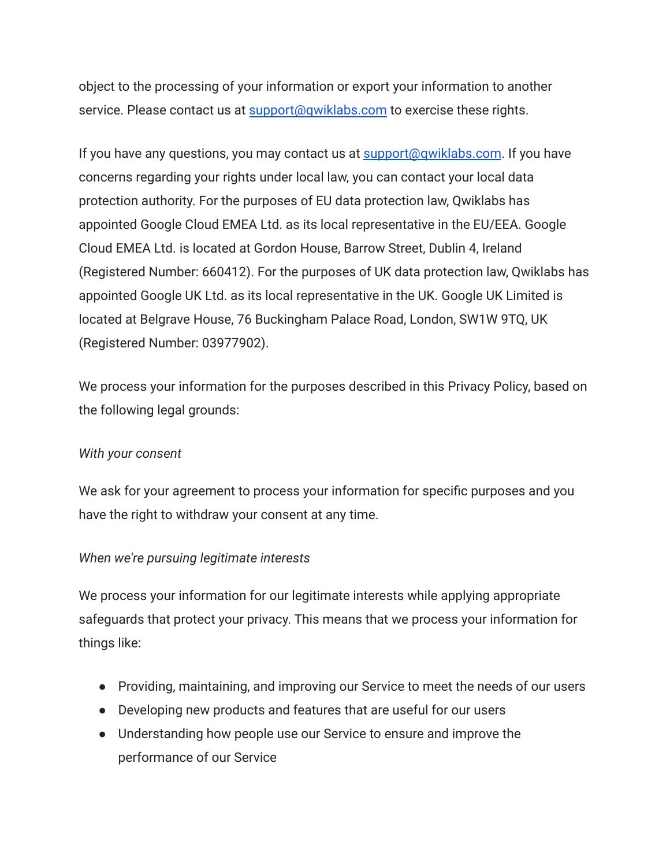object to the processing of your information or export your information to another service. Please contact us at [support@qwiklabs.com](mailto:support@qwiklabs.com) to exercise these rights.

If you have any questions, you may contact us at [support@qwiklabs.com](mailto:support@qwiklabs.com). If you have concerns regarding your rights under local law, you can contact your local data protection authority. For the purposes of EU data protection law, Qwiklabs has appointed Google Cloud EMEA Ltd. as its local representative in the EU/EEA. Google Cloud EMEA Ltd. is located at Gordon House, Barrow Street, Dublin 4, Ireland (Registered Number: 660412). For the purposes of UK data protection law, Qwiklabs has appointed Google UK Ltd. as its local representative in the UK. Google UK Limited is located at Belgrave House, 76 Buckingham Palace Road, London, SW1W 9TQ, UK (Registered Number: 03977902).

We process your information for the purposes described in this Privacy Policy, based on the following legal grounds:

#### *With your consent*

We ask for your agreement to process your information for specific purposes and you have the right to withdraw your consent at any time.

#### *When we're pursuing legitimate interests*

We process your information for our legitimate interests while applying appropriate safeguards that protect your privacy. This means that we process your information for things like:

- Providing, maintaining, and improving our Service to meet the needs of our users
- Developing new products and features that are useful for our users
- Understanding how people use our Service to ensure and improve the performance of our Service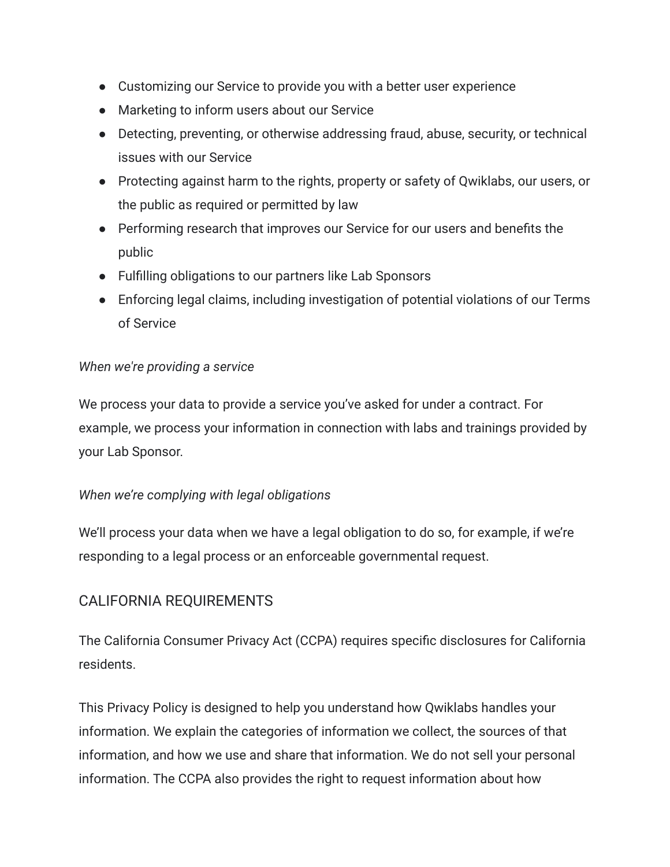- Customizing our Service to provide you with a better user experience
- Marketing to inform users about our Service
- Detecting, preventing, or otherwise addressing fraud, abuse, security, or technical issues with our Service
- Protecting against harm to the rights, property or safety of Qwiklabs, our users, or the public as required or permitted by law
- Performing research that improves our Service for our users and benefits the public
- Fulfilling obligations to our partners like Lab Sponsors
- Enforcing legal claims, including investigation of potential violations of our Terms of Service

#### *When we're providing a service*

We process your data to provide a service you've asked for under a contract. For example, we process your information in connection with labs and trainings provided by your Lab Sponsor.

#### *When we're complying with legal obligations*

We'll process your data when we have a legal obligation to do so, for example, if we're responding to a legal process or an enforceable governmental request.

# CALIFORNIA REQUIREMENTS

The California Consumer Privacy Act (CCPA) requires specific disclosures for California residents.

This Privacy Policy is designed to help you understand how Qwiklabs handles your information. We explain the categories of information we collect, the sources of that information, and how we use and share that information. We do not sell your personal information. The CCPA also provides the right to request information about how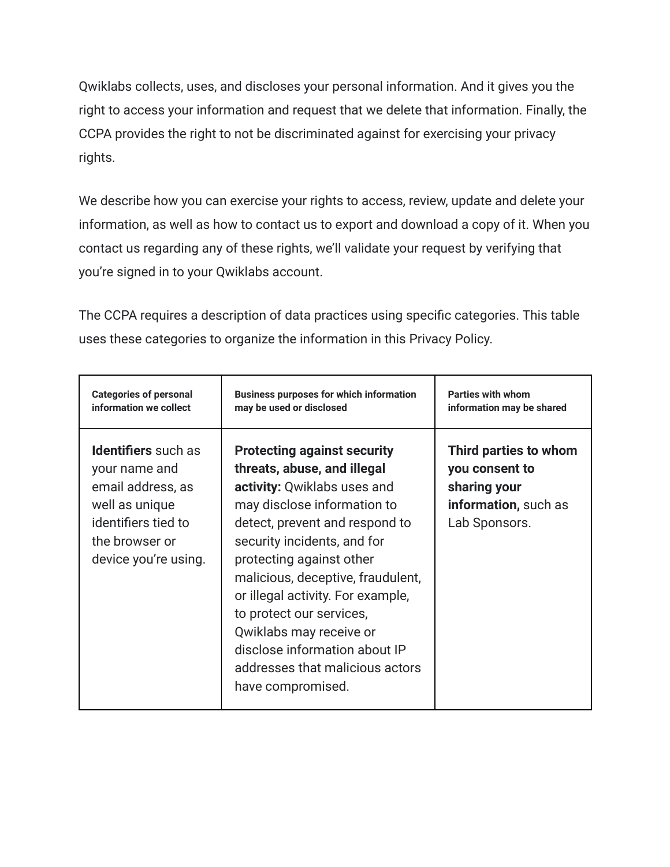Qwiklabs collects, uses, and discloses your personal information. And it gives you the right to access your information and request that we delete that information. Finally, the CCPA provides the right to not be discriminated against for exercising your privacy rights.

We describe how you can exercise your rights to access, review, update and delete your information, as well as how to contact us to export and download a copy of it. When you contact us regarding any of these rights, we'll validate your request by verifying that you're signed in to your Qwiklabs account.

The CCPA requires a description of data practices using specific categories. This table uses these categories to organize the information in this Privacy Policy.

| <b>Categories of personal</b>                                                                                                                       | <b>Business purposes for which information</b>                                                                                                                                                                                                                                                                                                                                                                                                         | <b>Parties with whom</b>                                                                         |
|-----------------------------------------------------------------------------------------------------------------------------------------------------|--------------------------------------------------------------------------------------------------------------------------------------------------------------------------------------------------------------------------------------------------------------------------------------------------------------------------------------------------------------------------------------------------------------------------------------------------------|--------------------------------------------------------------------------------------------------|
| information we collect                                                                                                                              | may be used or disclosed                                                                                                                                                                                                                                                                                                                                                                                                                               | information may be shared                                                                        |
| <b>Identifiers</b> such as<br>your name and<br>email address, as<br>well as unique<br>identifiers tied to<br>the browser or<br>device you're using. | <b>Protecting against security</b><br>threats, abuse, and illegal<br>activity: Qwiklabs uses and<br>may disclose information to<br>detect, prevent and respond to<br>security incidents, and for<br>protecting against other<br>malicious, deceptive, fraudulent,<br>or illegal activity. For example,<br>to protect our services,<br>Qwiklabs may receive or<br>disclose information about IP<br>addresses that malicious actors<br>have compromised. | Third parties to whom<br>you consent to<br>sharing your<br>information, such as<br>Lab Sponsors. |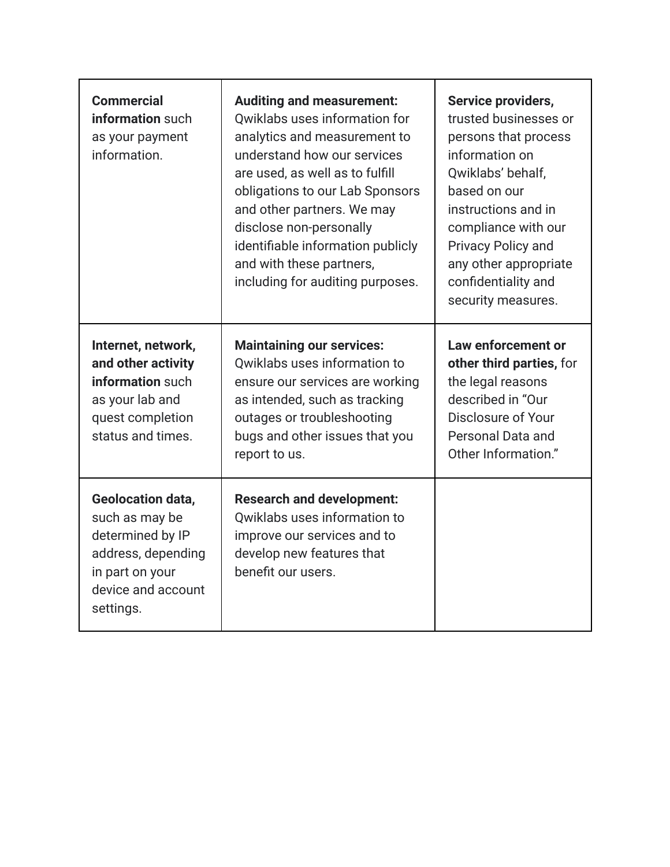| <b>Commercial</b><br>information such<br>as your payment<br>information.                                                                   | <b>Auditing and measurement:</b><br>Qwiklabs uses information for<br>analytics and measurement to<br>understand how our services<br>are used, as well as to fulfill<br>obligations to our Lab Sponsors<br>and other partners. We may<br>disclose non-personally<br>identifiable information publicly<br>and with these partners,<br>including for auditing purposes. | Service providers,<br>trusted businesses or<br>persons that process<br>information on<br>Qwiklabs' behalf,<br>based on our<br>instructions and in<br>compliance with our<br><b>Privacy Policy and</b><br>any other appropriate<br>confidentiality and<br>security measures. |
|--------------------------------------------------------------------------------------------------------------------------------------------|----------------------------------------------------------------------------------------------------------------------------------------------------------------------------------------------------------------------------------------------------------------------------------------------------------------------------------------------------------------------|-----------------------------------------------------------------------------------------------------------------------------------------------------------------------------------------------------------------------------------------------------------------------------|
| Internet, network,<br>and other activity<br>information such<br>as your lab and<br>quest completion<br>status and times.                   | <b>Maintaining our services:</b><br>Qwiklabs uses information to<br>ensure our services are working<br>as intended, such as tracking<br>outages or troubleshooting<br>bugs and other issues that you<br>report to us.                                                                                                                                                | Law enforcement or<br>other third parties, for<br>the legal reasons<br>described in "Our<br>Disclosure of Your<br>Personal Data and<br>Other Information."                                                                                                                  |
| <b>Geolocation data,</b><br>such as may be<br>determined by IP<br>address, depending<br>in part on your<br>device and account<br>settings. | <b>Research and development:</b><br>Qwiklabs uses information to<br>improve our services and to<br>develop new features that<br>benefit our users.                                                                                                                                                                                                                   |                                                                                                                                                                                                                                                                             |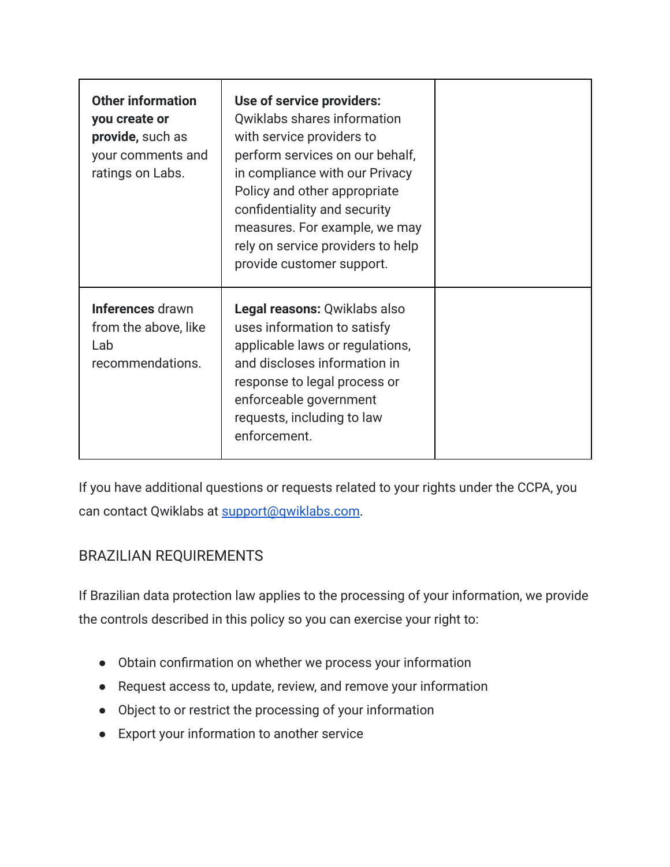| <b>Other information</b><br>you create or<br>provide, such as<br>your comments and<br>ratings on Labs. | Use of service providers:<br>Qwiklabs shares information<br>with service providers to<br>perform services on our behalf,<br>in compliance with our Privacy<br>Policy and other appropriate<br>confidentiality and security<br>measures. For example, we may<br>rely on service providers to help<br>provide customer support. |  |
|--------------------------------------------------------------------------------------------------------|-------------------------------------------------------------------------------------------------------------------------------------------------------------------------------------------------------------------------------------------------------------------------------------------------------------------------------|--|
| Inferences drawn<br>from the above, like<br>Lab<br>recommendations.                                    | Legal reasons: Qwiklabs also<br>uses information to satisfy<br>applicable laws or regulations,<br>and discloses information in<br>response to legal process or<br>enforceable government<br>requests, including to law<br>enforcement.                                                                                        |  |

If you have additional questions or requests related to your rights under the CCPA, you can contact Qwiklabs at [support@qwiklabs.com.](mailto:support@qwiklabs.com)

# BRAZILIAN REQUIREMENTS

If Brazilian data protection law applies to the processing of your information, we provide the controls described in this policy so you can exercise your right to:

- Obtain confirmation on whether we process your information
- Request access to, update, review, and remove your information
- Object to or restrict the processing of your information
- Export your information to another service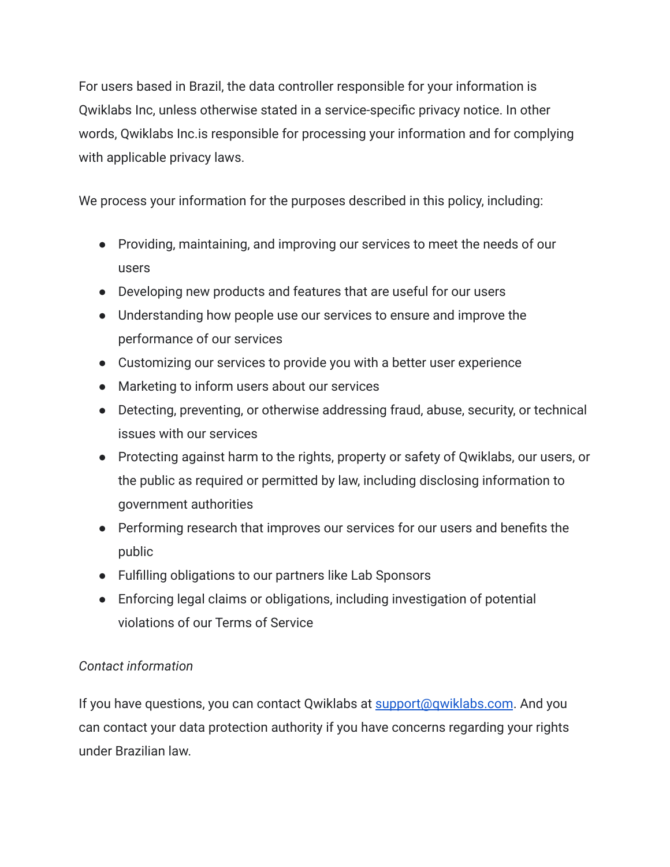For users based in Brazil, the data controller responsible for your information is Qwiklabs Inc, unless otherwise stated in a service-specific privacy notice. In other words, Qwiklabs Inc.is responsible for processing your information and for complying with applicable privacy laws.

We process your information for the purposes described in this policy, including:

- Providing, maintaining, and improving our services to meet the needs of our users
- Developing new products and features that are useful for our users
- Understanding how people use our services to ensure and improve the performance of our services
- Customizing our services to provide you with a better user experience
- Marketing to inform users about our services
- Detecting, preventing, or otherwise addressing fraud, abuse, security, or technical issues with our services
- Protecting against harm to the rights, property or safety of Qwiklabs, our users, or the public as required or permitted by law, including disclosing information to government authorities
- Performing research that improves our services for our users and benefits the public
- Fulfilling obligations to our partners like Lab Sponsors
- Enforcing legal claims or obligations, including investigation of potential violations of our Terms of Service

# *Contact information*

If you have questions, you can contact Qwiklabs at [support@qwiklabs.com](mailto:support@qwiklabs.com). And you can contact your data protection authority if you have concerns regarding your rights under Brazilian law.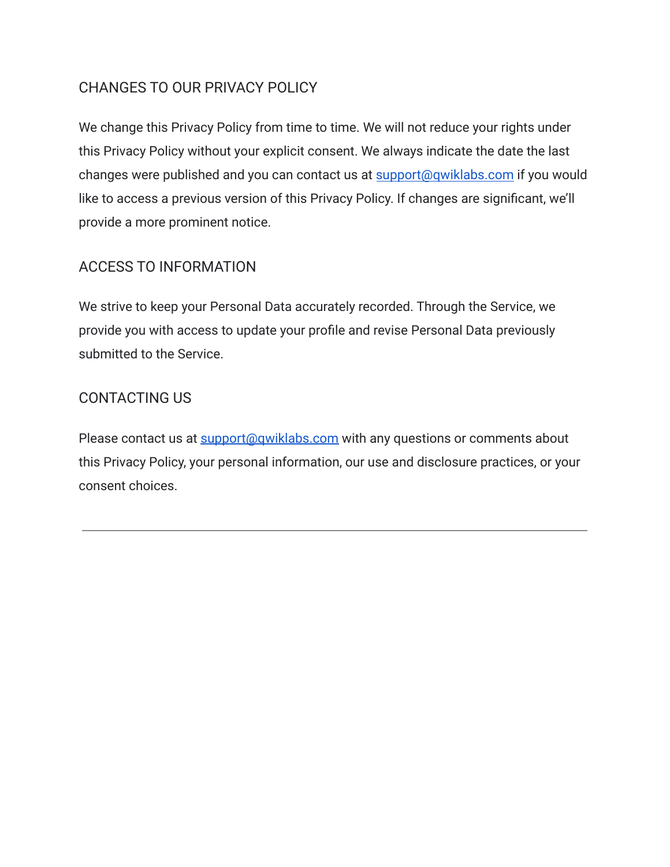# CHANGES TO OUR PRIVACY POLICY

We change this Privacy Policy from time to time. We will not reduce your rights under this Privacy Policy without your explicit consent. We always indicate the date the last changes were published and you can contact us at [support@qwiklabs.com](mailto:support@qwiklabs.com) if you would like to access a previous version of this Privacy Policy. If changes are significant, we'll provide a more prominent notice.

# ACCESS TO INFORMATION

We strive to keep your Personal Data accurately recorded. Through the Service, we provide you with access to update your profile and revise Personal Data previously submitted to the Service.

# CONTACTING US

Please contact us at **support**@qwiklabs.com with any questions or comments about this Privacy Policy, your personal information, our use and disclosure practices, or your consent choices.